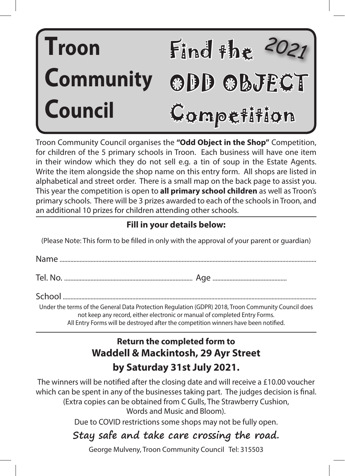# Find the **T** *2021* ODD OBJECT Competition **roon Community Council**

Troon Community Council organises the **"Odd Object in the Shop"** Competition, for children of the 5 primary schools in Troon. Each business will have one item in their window which they do not sell e.g. a tin of soup in the Estate Agents. Write the item alongside the shop name on this entry form. All shops are listed in alphabetical and street order. There is a small map on the back page to assist you. This year the competition is open to **all primary school children** as well as Troon's primary schools. There will be 3 prizes awarded to each of the schools in Troon, and an additional 10 prizes for children attending other schools.

# **Fill in your details below:**

(Please Note: This form to be filled in only with the approval of your parent or guardian)

Under the terms of the General Data Protection Regulation (GDPR) 2018, Troon Community Council does not keep any record, either electronic or manual of completed Entry Forms. All Entry Forms will be destroyed after the competition winners have been notified.

# **Return the completed form to Waddell & Mackintosh, 29 Ayr Street by Saturday 31st July 2021.**

The winners will be notified after the closing date and will receive a £10.00 voucher which can be spent in any of the businesses taking part. The judges decision is final. (Extra copies can be obtained from C Gulls, The Strawberry Cushion, Words and Music and Bloom).

Due to COVID restrictions some shops may not be fully open.

# **Stay safe and take care crossing the road.**

George Mulveny, Troon Community Council Tel: 315503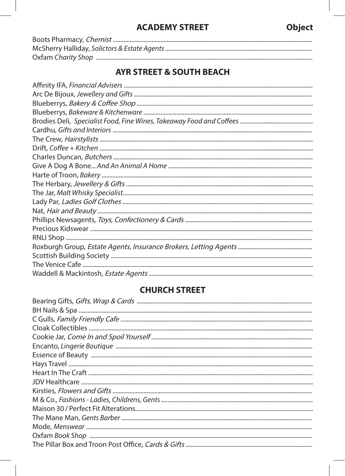#### **ACADEMY STREET**

## **AYR STREET & SOUTH BEACH**

#### **CHURCH STREET**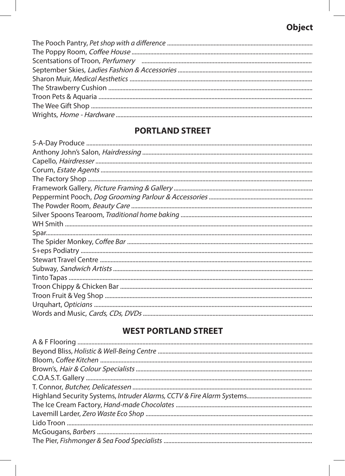## Object

# **PORTLAND STREET**

#### **WEST PORTLAND STREET**